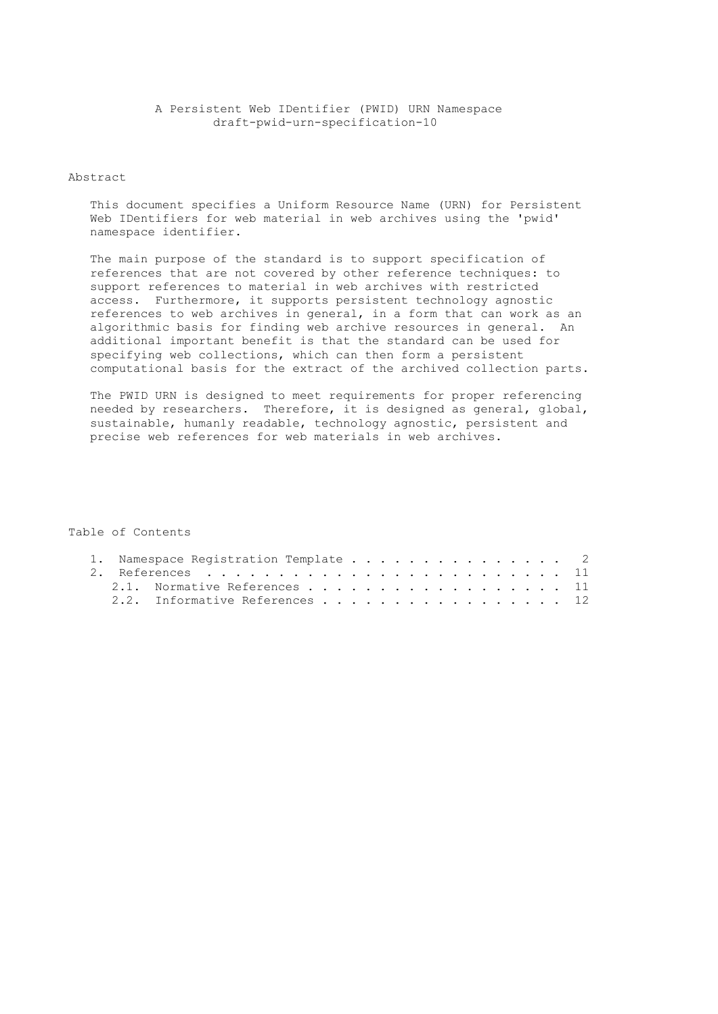### A Persistent Web IDentifier (PWID) URN Namespace draft-pwid-urn-specification-10

# Abstract

 This document specifies a Uniform Resource Name (URN) for Persistent Web IDentifiers for web material in web archives using the 'pwid' namespace identifier.

 The main purpose of the standard is to support specification of references that are not covered by other reference techniques: to support references to material in web archives with restricted access. Furthermore, it supports persistent technology agnostic references to web archives in general, in a form that can work as an algorithmic basis for finding web archive resources in general. An additional important benefit is that the standard can be used for specifying web collections, which can then form a persistent computational basis for the extract of the archived collection parts.

 The PWID URN is designed to meet requirements for proper referencing needed by researchers. Therefore, it is designed as general, global, sustainable, humanly readable, technology agnostic, persistent and precise web references for web materials in web archives.

# Table of Contents

| 1. Namespace Registration Template 2 |  |  |
|--------------------------------------|--|--|
|                                      |  |  |
| 2.1. Normative References 11         |  |  |
| 2.2. Informative References 12       |  |  |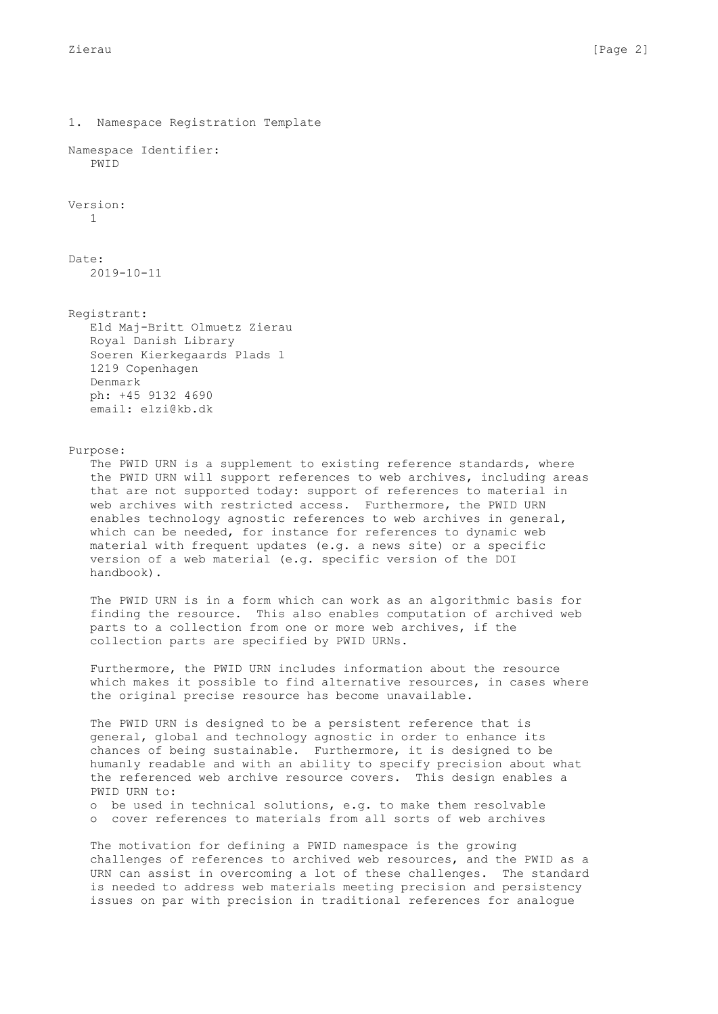1. Namespace Registration Template Namespace Identifier: PWID Version: 1 Date: 2019-10-11 Registrant: Eld Maj-Britt Olmuetz Zierau Royal Danish Library Soeren Kierkegaards Plads 1 1219 Copenhagen Denmark ph: +45 9132 4690 email: elzi@kb.dk Purpose: The PWID URN is a supplement to existing reference standards, where the PWID URN will support references to web archives, including areas that are not supported today: support of references to material in web archives with restricted access. Furthermore, the PWID URN enables technology agnostic references to web archives in general, which can be needed, for instance for references to dynamic web material with frequent updates (e.g. a news site) or a specific version of a web material (e.g. specific version of the DOI handbook). The PWID URN is in a form which can work as an algorithmic basis for finding the resource. This also enables computation of archived web parts to a collection from one or more web archives, if the collection parts are specified by PWID URNs. Furthermore, the PWID URN includes information about the resource which makes it possible to find alternative resources, in cases where the original precise resource has become unavailable. The PWID URN is designed to be a persistent reference that is general, global and technology agnostic in order to enhance its chances of being sustainable. Furthermore, it is designed to be humanly readable and with an ability to specify precision about what the referenced web archive resource covers. This design enables a PWID URN to: o be used in technical solutions, e.g. to make them resolvable o cover references to materials from all sorts of web archives

 The motivation for defining a PWID namespace is the growing challenges of references to archived web resources, and the PWID as a URN can assist in overcoming a lot of these challenges. The standard is needed to address web materials meeting precision and persistency issues on par with precision in traditional references for analogue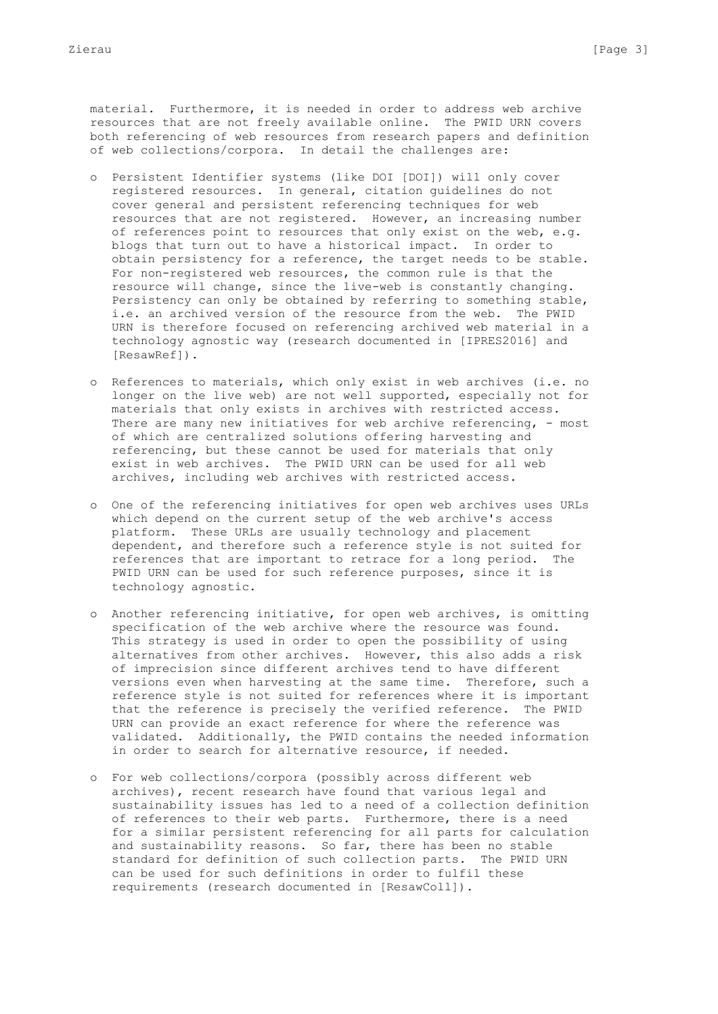material. Furthermore, it is needed in order to address web archive resources that are not freely available online. The PWID URN covers both referencing of web resources from research papers and definition of web collections/corpora. In detail the challenges are:

- o Persistent Identifier systems (like DOI [DOI]) will only cover registered resources. In general, citation guidelines do not cover general and persistent referencing techniques for web resources that are not registered. However, an increasing number of references point to resources that only exist on the web, e.g. blogs that turn out to have a historical impact. In order to obtain persistency for a reference, the target needs to be stable. For non-registered web resources, the common rule is that the resource will change, since the live-web is constantly changing. Persistency can only be obtained by referring to something stable, i.e. an archived version of the resource from the web. The PWID URN is therefore focused on referencing archived web material in a technology agnostic way (research documented in [IPRES2016] and [ResawRef]).
- o References to materials, which only exist in web archives (i.e. no longer on the live web) are not well supported, especially not for materials that only exists in archives with restricted access. There are many new initiatives for web archive referencing, - most of which are centralized solutions offering harvesting and referencing, but these cannot be used for materials that only exist in web archives. The PWID URN can be used for all web archives, including web archives with restricted access.
- o One of the referencing initiatives for open web archives uses URLs which depend on the current setup of the web archive's access platform. These URLs are usually technology and placement dependent, and therefore such a reference style is not suited for references that are important to retrace for a long period. The PWID URN can be used for such reference purposes, since it is technology agnostic.
- o Another referencing initiative, for open web archives, is omitting specification of the web archive where the resource was found. This strategy is used in order to open the possibility of using alternatives from other archives. However, this also adds a risk of imprecision since different archives tend to have different versions even when harvesting at the same time. Therefore, such a reference style is not suited for references where it is important that the reference is precisely the verified reference. The PWID URN can provide an exact reference for where the reference was validated. Additionally, the PWID contains the needed information in order to search for alternative resource, if needed.
- o For web collections/corpora (possibly across different web archives), recent research have found that various legal and sustainability issues has led to a need of a collection definition of references to their web parts. Furthermore, there is a need for a similar persistent referencing for all parts for calculation and sustainability reasons. So far, there has been no stable standard for definition of such collection parts. The PWID URN can be used for such definitions in order to fulfil these requirements (research documented in [ResawColl]).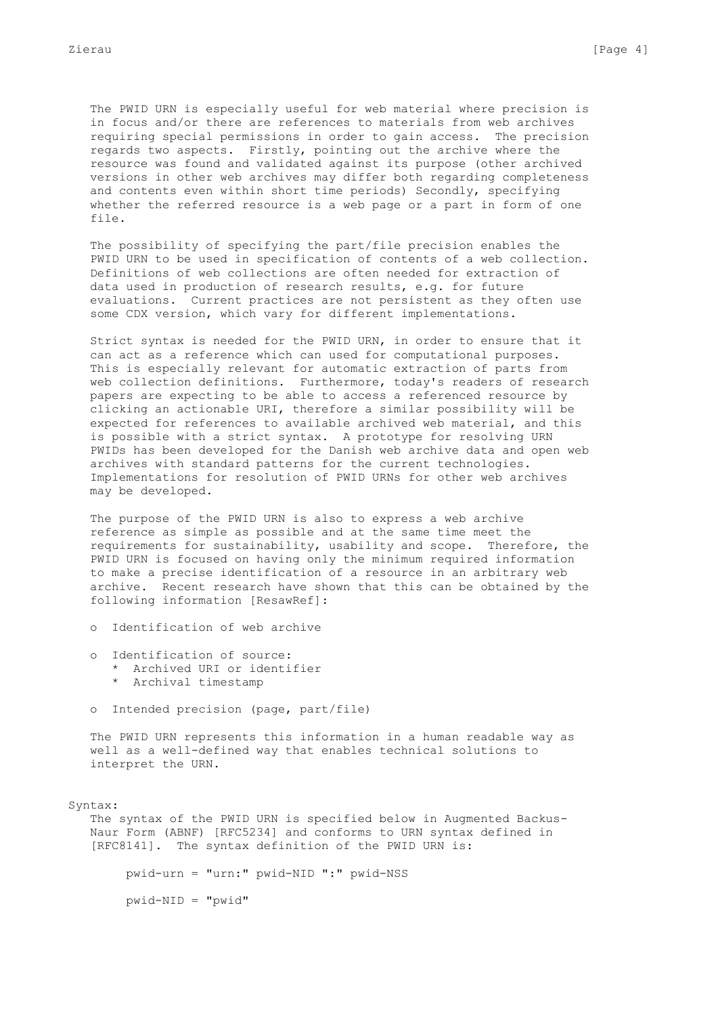The PWID URN is especially useful for web material where precision is in focus and/or there are references to materials from web archives requiring special permissions in order to gain access. The precision regards two aspects. Firstly, pointing out the archive where the resource was found and validated against its purpose (other archived versions in other web archives may differ both regarding completeness and contents even within short time periods) Secondly, specifying whether the referred resource is a web page or a part in form of one file.

 The possibility of specifying the part/file precision enables the PWID URN to be used in specification of contents of a web collection. Definitions of web collections are often needed for extraction of data used in production of research results, e.g. for future evaluations. Current practices are not persistent as they often use some CDX version, which vary for different implementations.

 Strict syntax is needed for the PWID URN, in order to ensure that it can act as a reference which can used for computational purposes. This is especially relevant for automatic extraction of parts from web collection definitions. Furthermore, today's readers of research papers are expecting to be able to access a referenced resource by clicking an actionable URI, therefore a similar possibility will be expected for references to available archived web material, and this is possible with a strict syntax. A prototype for resolving URN PWIDs has been developed for the Danish web archive data and open web archives with standard patterns for the current technologies. Implementations for resolution of PWID URNs for other web archives may be developed.

 The purpose of the PWID URN is also to express a web archive reference as simple as possible and at the same time meet the requirements for sustainability, usability and scope. Therefore, the PWID URN is focused on having only the minimum required information to make a precise identification of a resource in an arbitrary web archive. Recent research have shown that this can be obtained by the following information [ResawRef]:

- o Identification of web archive
- o Identification of source: \* Archived URI or identifier
	- \* Archival timestamp
- o Intended precision (page, part/file)

 The PWID URN represents this information in a human readable way as well as a well-defined way that enables technical solutions to interpret the URN.

#### Syntax:

 The syntax of the PWID URN is specified below in Augmented Backus- Naur Form (ABNF) [RFC5234] and conforms to URN syntax defined in [RFC8141]. The syntax definition of the PWID URN is:

pwid-urn = "urn:" pwid-NID ":" pwid-NSS

pwid-NID = "pwid"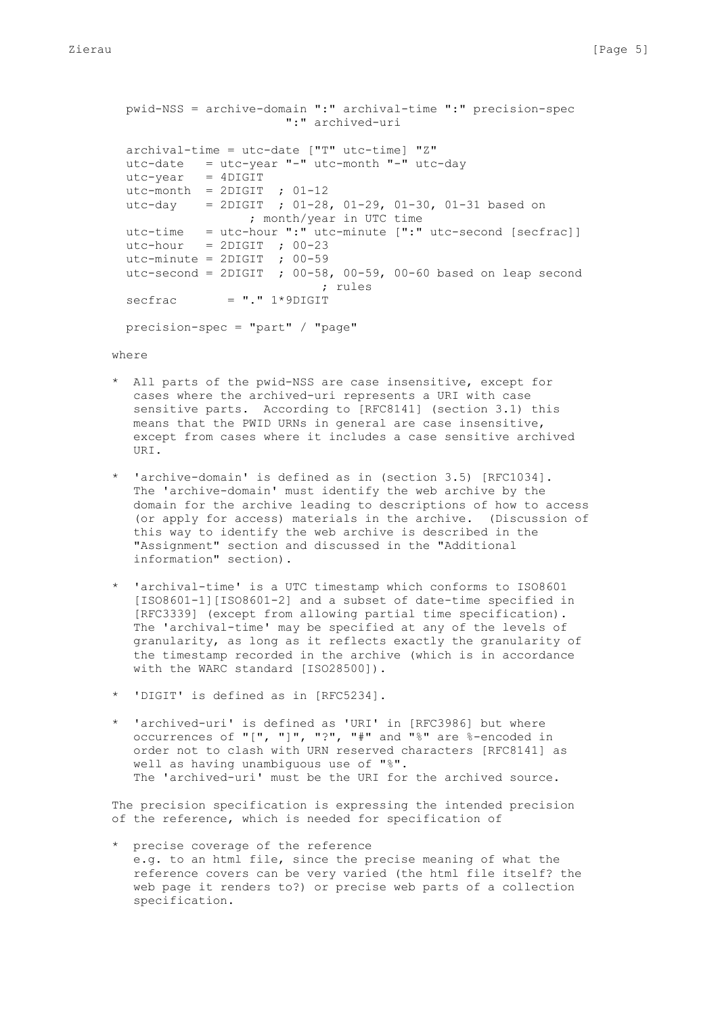```
 pwid-NSS = archive-domain ":" archival-time ":" precision-spec
                      ":" archived-uri
 archival-time = utc-date ["T" utc-time] "Z"
 utc-date = utc-year "-" utc-month "-" utc-day
utc-year = 4DIGITutc-month = 2DIGIT ; 01-12
 utc-day = 2DIGIT ; 01-28, 01-29, 01-30, 01-31 based on
                 ; month/year in UTC time
 utc-time = utc-hour ":" utc-minute [":" utc-second [secfrac]]
utc-hour = 2DIGIT ; 00-23
utc-minute = 2DIGIT ; 00-59
utc-second = 2DIGIT ; 00-58, 00-59, 00-60 based on leap second
                           ; rules
\text{secfrac} = "." 1*9DIGIT
precision-spec = "part" / "page"
```
where

- \* All parts of the pwid-NSS are case insensitive, except for cases where the archived-uri represents a URI with case sensitive parts. According to [RFC8141] (section 3.1) this means that the PWID URNs in general are case insensitive, except from cases where it includes a case sensitive archived URI.
- \* 'archive-domain' is defined as in (section 3.5) [RFC1034]. The 'archive-domain' must identify the web archive by the domain for the archive leading to descriptions of how to access (or apply for access) materials in the archive. (Discussion of this way to identify the web archive is described in the "Assignment" section and discussed in the "Additional information" section).
- \* 'archival-time' is a UTC timestamp which conforms to ISO8601 [ISO8601-1][ISO8601-2] and a subset of date-time specified in [RFC3339] (except from allowing partial time specification). The 'archival-time' may be specified at any of the levels of granularity, as long as it reflects exactly the granularity of the timestamp recorded in the archive (which is in accordance with the WARC standard [ISO285001).
- \* 'DIGIT' is defined as in [RFC5234].
- \* 'archived-uri' is defined as 'URI' in [RFC3986] but where occurrences of "[", "]", "?", "#" and "%" are %-encoded in order not to clash with URN reserved characters [RFC8141] as well as having unambiguous use of "%". The 'archived-uri' must be the URI for the archived source.

 The precision specification is expressing the intended precision of the reference, which is needed for specification of

 \* precise coverage of the reference e.g. to an html file, since the precise meaning of what the reference covers can be very varied (the html file itself? the web page it renders to?) or precise web parts of a collection specification.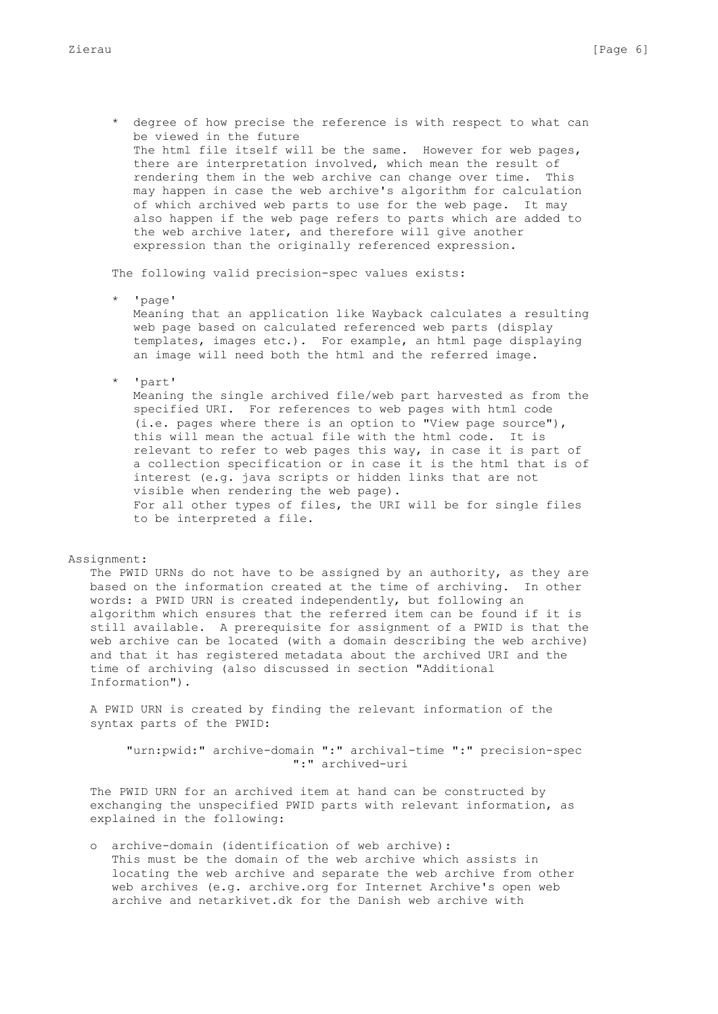\* degree of how precise the reference is with respect to what can be viewed in the future The html file itself will be the same. However for web pages, there are interpretation involved, which mean the result of rendering them in the web archive can change over time. This may happen in case the web archive's algorithm for calculation of which archived web parts to use for the web page. It may also happen if the web page refers to parts which are added to the web archive later, and therefore will give another expression than the originally referenced expression.

The following valid precision-spec values exists:

\* 'page'

 Meaning that an application like Wayback calculates a resulting web page based on calculated referenced web parts (display templates, images etc.). For example, an html page displaying an image will need both the html and the referred image.

\* 'part'

 Meaning the single archived file/web part harvested as from the specified URI. For references to web pages with html code (i.e. pages where there is an option to "View page source"), this will mean the actual file with the html code. It is relevant to refer to web pages this way, in case it is part of a collection specification or in case it is the html that is of interest (e.g. java scripts or hidden links that are not visible when rendering the web page). For all other types of files, the URI will be for single files to be interpreted a file.

## Assignment:

 The PWID URNs do not have to be assigned by an authority, as they are based on the information created at the time of archiving. In other words: a PWID URN is created independently, but following an algorithm which ensures that the referred item can be found if it is still available. A prerequisite for assignment of a PWID is that the web archive can be located (with a domain describing the web archive) and that it has registered metadata about the archived URI and the time of archiving (also discussed in section "Additional Information").

 A PWID URN is created by finding the relevant information of the syntax parts of the PWID:

 "urn:pwid:" archive-domain ":" archival-time ":" precision-spec ":" archived-uri

 The PWID URN for an archived item at hand can be constructed by exchanging the unspecified PWID parts with relevant information, as explained in the following:

 o archive-domain (identification of web archive): This must be the domain of the web archive which assists in locating the web archive and separate the web archive from other web archives (e.g. archive.org for Internet Archive's open web archive and netarkivet.dk for the Danish web archive with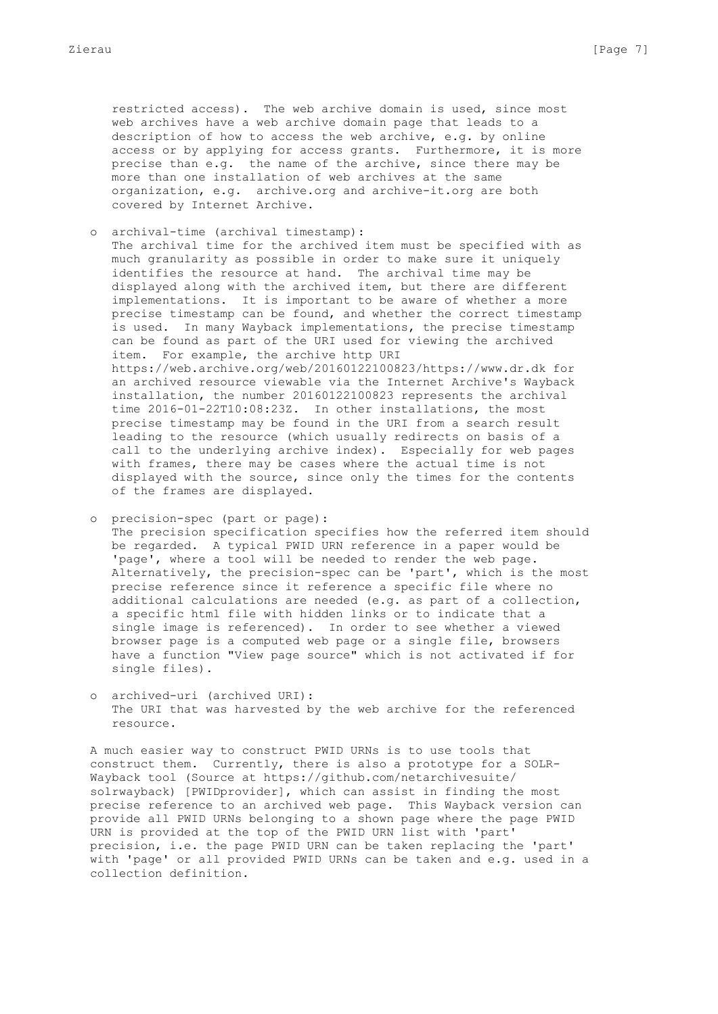restricted access). The web archive domain is used, since most web archives have a web archive domain page that leads to a description of how to access the web archive, e.g. by online access or by applying for access grants. Furthermore, it is more precise than e.g. the name of the archive, since there may be more than one installation of web archives at the same organization, e.g. archive.org and archive-it.org are both covered by Internet Archive.

o archival-time (archival timestamp):

 The archival time for the archived item must be specified with as much granularity as possible in order to make sure it uniquely identifies the resource at hand. The archival time may be displayed along with the archived item, but there are different implementations. It is important to be aware of whether a more precise timestamp can be found, and whether the correct timestamp is used. In many Wayback implementations, the precise timestamp can be found as part of the URI used for viewing the archived item. For example, the archive http URI https://web.archive.org/web/20160122100823/https://www.dr.dk for an archived resource viewable via the Internet Archive's Wayback installation, the number 20160122100823 represents the archival time 2016-01-22T10:08:23Z. In other installations, the most precise timestamp may be found in the URI from a search result leading to the resource (which usually redirects on basis of a call to the underlying archive index). Especially for web pages with frames, there may be cases where the actual time is not displayed with the source, since only the times for the contents of the frames are displayed.

 o precision-spec (part or page): The precision specification specifies how the referred item should be regarded. A typical PWID URN reference in a paper would be 'page', where a tool will be needed to render the web page. Alternatively, the precision-spec can be 'part', which is the most precise reference since it reference a specific file where no additional calculations are needed (e.g. as part of a collection, a specific html file with hidden links or to indicate that a single image is referenced). In order to see whether a viewed browser page is a computed web page or a single file, browsers have a function "View page source" which is not activated if for single files).

 o archived-uri (archived URI): The URI that was harvested by the web archive for the referenced resource.

 A much easier way to construct PWID URNs is to use tools that construct them. Currently, there is also a prototype for a SOLR- Wayback tool (Source at https://github.com/netarchivesuite/ solrwayback) [PWIDprovider], which can assist in finding the most precise reference to an archived web page. This Wayback version can provide all PWID URNs belonging to a shown page where the page PWID URN is provided at the top of the PWID URN list with 'part' precision, i.e. the page PWID URN can be taken replacing the 'part' with 'page' or all provided PWID URNs can be taken and e.g. used in a collection definition.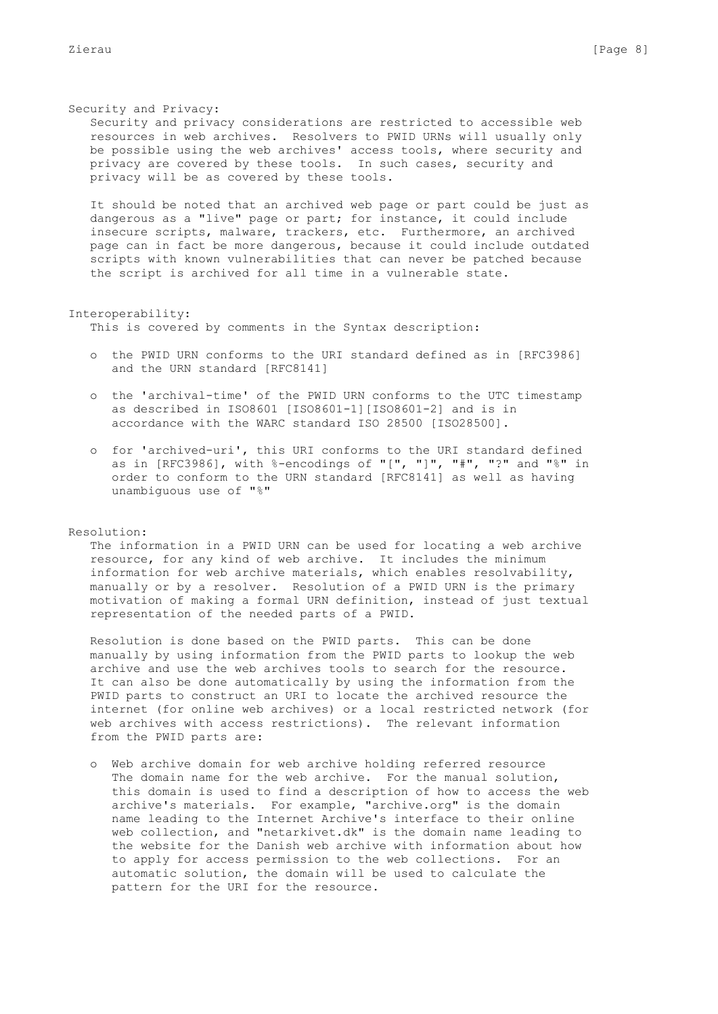#### Security and Privacy:

 Security and privacy considerations are restricted to accessible web resources in web archives. Resolvers to PWID URNs will usually only be possible using the web archives' access tools, where security and privacy are covered by these tools. In such cases, security and privacy will be as covered by these tools.

 It should be noted that an archived web page or part could be just as dangerous as a "live" page or part; for instance, it could include insecure scripts, malware, trackers, etc. Furthermore, an archived page can in fact be more dangerous, because it could include outdated scripts with known vulnerabilities that can never be patched because the script is archived for all time in a vulnerable state.

### Interoperability:

This is covered by comments in the Syntax description:

- o the PWID URN conforms to the URI standard defined as in [RFC3986] and the URN standard [RFC8141]
- o the 'archival-time' of the PWID URN conforms to the UTC timestamp as described in ISO8601 [ISO8601-1][ISO8601-2] and is in accordance with the WARC standard ISO 28500 [ISO28500].
- o for 'archived-uri', this URI conforms to the URI standard defined as in [RFC3986], with %-encodings of "[", "]", "#", "?" and "%" in order to conform to the URN standard [RFC8141] as well as having unambiguous use of "%"

### Resolution:

 The information in a PWID URN can be used for locating a web archive resource, for any kind of web archive. It includes the minimum information for web archive materials, which enables resolvability, manually or by a resolver. Resolution of a PWID URN is the primary motivation of making a formal URN definition, instead of just textual representation of the needed parts of a PWID.

 Resolution is done based on the PWID parts. This can be done manually by using information from the PWID parts to lookup the web archive and use the web archives tools to search for the resource. It can also be done automatically by using the information from the PWID parts to construct an URI to locate the archived resource the internet (for online web archives) or a local restricted network (for web archives with access restrictions). The relevant information from the PWID parts are:

 o Web archive domain for web archive holding referred resource The domain name for the web archive. For the manual solution, this domain is used to find a description of how to access the web archive's materials. For example, "archive.org" is the domain name leading to the Internet Archive's interface to their online web collection, and "netarkivet.dk" is the domain name leading to the website for the Danish web archive with information about how to apply for access permission to the web collections. For an automatic solution, the domain will be used to calculate the pattern for the URI for the resource.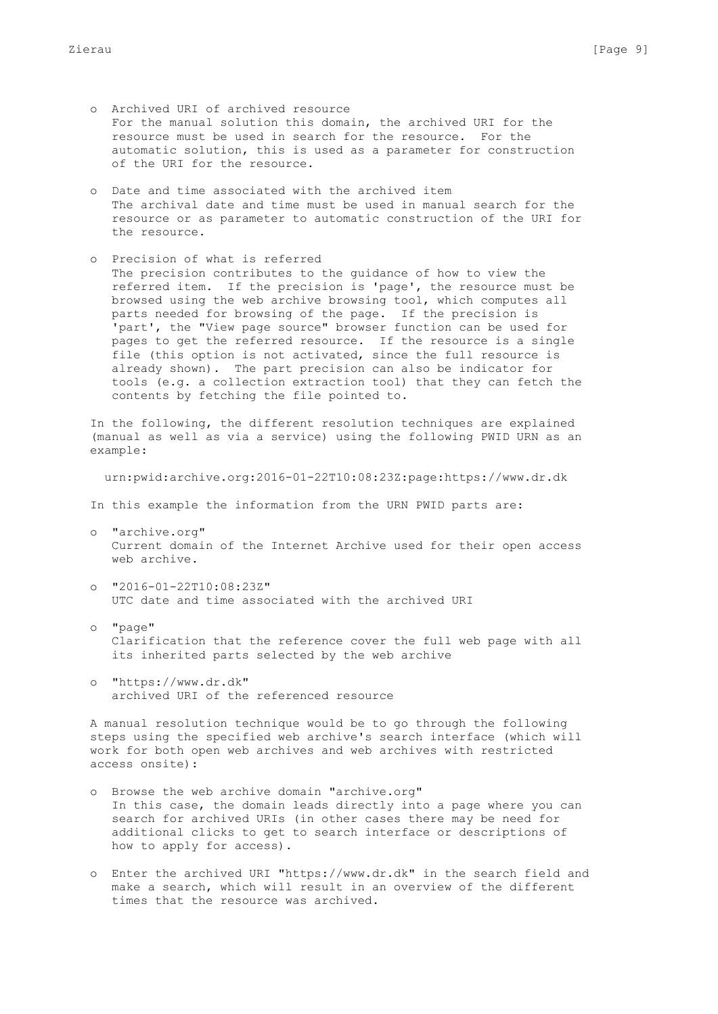- o Archived URI of archived resource For the manual solution this domain, the archived URI for the resource must be used in search for the resource. For the automatic solution, this is used as a parameter for construction of the URI for the resource.
- o Date and time associated with the archived item The archival date and time must be used in manual search for the resource or as parameter to automatic construction of the URI for the resource.
- o Precision of what is referred The precision contributes to the guidance of how to view the referred item. If the precision is 'page', the resource must be browsed using the web archive browsing tool, which computes all parts needed for browsing of the page. If the precision is 'part', the "View page source" browser function can be used for pages to get the referred resource. If the resource is a single file (this option is not activated, since the full resource is already shown). The part precision can also be indicator for tools (e.g. a collection extraction tool) that they can fetch the contents by fetching the file pointed to.

 In the following, the different resolution techniques are explained (manual as well as via a service) using the following PWID URN as an example:

urn:pwid:archive.org:2016-01-22T10:08:23Z:page:https://www.dr.dk

In this example the information from the URN PWID parts are:

- o "archive.org" Current domain of the Internet Archive used for their open access web archive.
- o "2016-01-22T10:08:23Z" UTC date and time associated with the archived URI
- o "page" Clarification that the reference cover the full web page with all its inherited parts selected by the web archive
- o "https://www.dr.dk" archived URI of the referenced resource

 A manual resolution technique would be to go through the following steps using the specified web archive's search interface (which will work for both open web archives and web archives with restricted access onsite):

- o Browse the web archive domain "archive.org" In this case, the domain leads directly into a page where you can search for archived URIs (in other cases there may be need for additional clicks to get to search interface or descriptions of how to apply for access).
- o Enter the archived URI "https://www.dr.dk" in the search field and make a search, which will result in an overview of the different times that the resource was archived.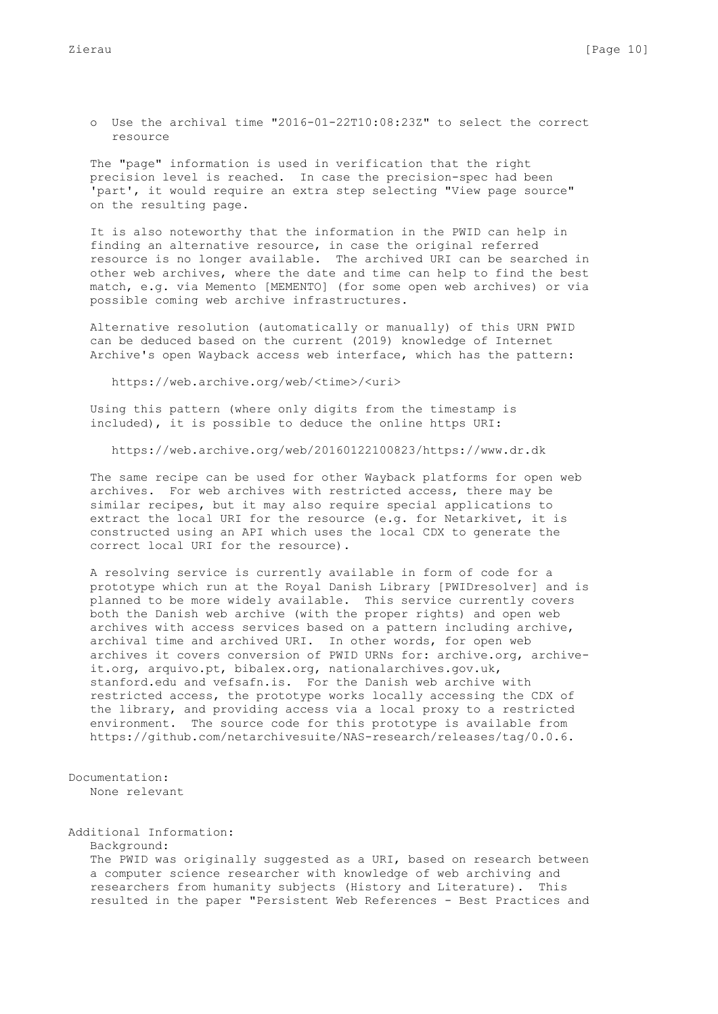o Use the archival time "2016-01-22T10:08:23Z" to select the correct resource

 The "page" information is used in verification that the right precision level is reached. In case the precision-spec had been 'part', it would require an extra step selecting "View page source" on the resulting page.

 It is also noteworthy that the information in the PWID can help in finding an alternative resource, in case the original referred resource is no longer available. The archived URI can be searched in other web archives, where the date and time can help to find the best match, e.g. via Memento [MEMENTO] (for some open web archives) or via possible coming web archive infrastructures.

 Alternative resolution (automatically or manually) of this URN PWID can be deduced based on the current (2019) knowledge of Internet Archive's open Wayback access web interface, which has the pattern:

https://web.archive.org/web/<time>/<uri>

 Using this pattern (where only digits from the timestamp is included), it is possible to deduce the online https URI:

https://web.archive.org/web/20160122100823/https://www.dr.dk

 The same recipe can be used for other Wayback platforms for open web archives. For web archives with restricted access, there may be similar recipes, but it may also require special applications to extract the local URI for the resource (e.g. for Netarkivet, it is constructed using an API which uses the local CDX to generate the correct local URI for the resource).

 A resolving service is currently available in form of code for a prototype which run at the Royal Danish Library [PWIDresolver] and is planned to be more widely available. This service currently covers both the Danish web archive (with the proper rights) and open web archives with access services based on a pattern including archive, archival time and archived URI. In other words, for open web archives it covers conversion of PWID URNs for: archive.org, archive it.org, arquivo.pt, bibalex.org, nationalarchives.gov.uk, stanford.edu and vefsafn.is. For the Danish web archive with restricted access, the prototype works locally accessing the CDX of the library, and providing access via a local proxy to a restricted environment. The source code for this prototype is available from https://github.com/netarchivesuite/NAS-research/releases/tag/0.0.6.

```
Documentation:
    None relevant
```
Additional Information:

Background:

The PWID was originally suggested as a URI, based on research between a computer science researcher with knowledge of web archiving and researchers from humanity subjects (History and Literature). This resulted in the paper "Persistent Web References - Best Practices and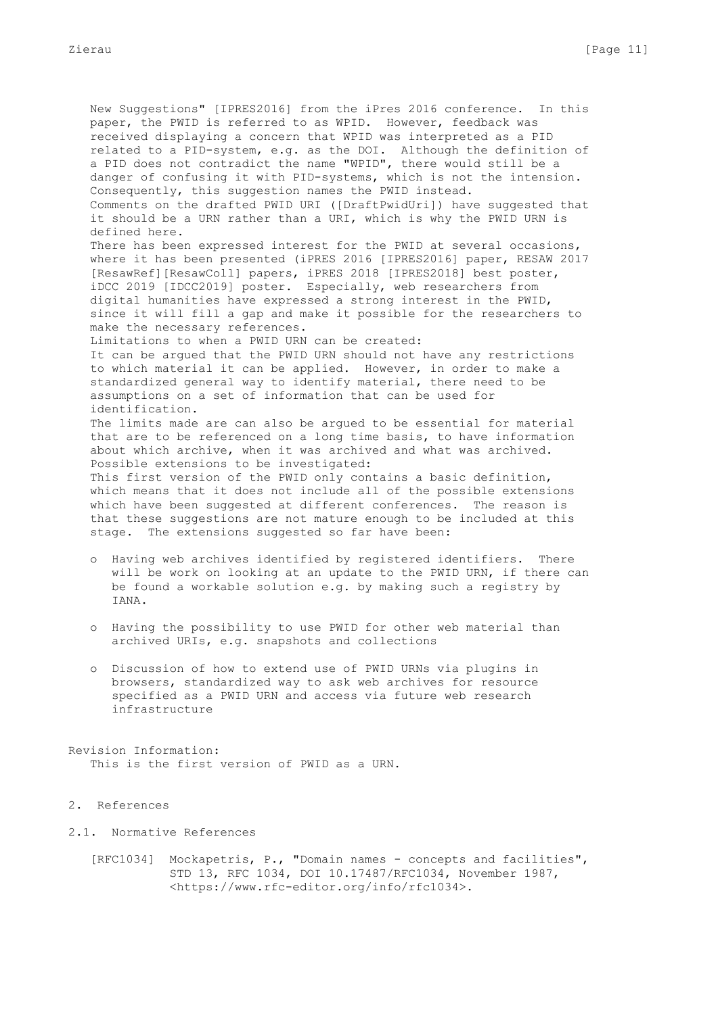New Suggestions" [IPRES2016] from the iPres 2016 conference. In this paper, the PWID is referred to as WPID. However, feedback was received displaying a concern that WPID was interpreted as a PID related to a PID-system, e.g. as the DOI. Although the definition of a PID does not contradict the name "WPID", there would still be a danger of confusing it with PID-systems, which is not the intension. Consequently, this suggestion names the PWID instead. Comments on the drafted PWID URI ([DraftPwidUri]) have suggested that it should be a URN rather than a URI, which is why the PWID URN is defined here. There has been expressed interest for the PWID at several occasions, where it has been presented (iPRES 2016 [IPRES2016] paper, RESAW 2017 [ResawRef][ResawColl] papers, iPRES 2018 [IPRES2018] best poster, iDCC 2019 [IDCC2019] poster. Especially, web researchers from digital humanities have expressed a strong interest in the PWID, since it will fill a gap and make it possible for the researchers to make the necessary references. Limitations to when a PWID URN can be created: It can be argued that the PWID URN should not have any restrictions to which material it can be applied. However, in order to make a standardized general way to identify material, there need to be assumptions on a set of information that can be used for identification. The limits made are can also be argued to be essential for material that are to be referenced on a long time basis, to have information about which archive, when it was archived and what was archived. Possible extensions to be investigated: This first version of the PWID only contains a basic definition, which means that it does not include all of the possible extensions which have been suggested at different conferences. The reason is that these suggestions are not mature enough to be included at this stage. The extensions suggested so far have been:

- o Having web archives identified by registered identifiers. There will be work on looking at an update to the PWID URN, if there can be found a workable solution e.g. by making such a registry by IANA.
- o Having the possibility to use PWID for other web material than archived URIs, e.g. snapshots and collections
- o Discussion of how to extend use of PWID URNs via plugins in browsers, standardized way to ask web archives for resource specified as a PWID URN and access via future web research infrastructure

Revision Information: This is the first version of PWID as a URN.

## 2. References

- 2.1. Normative References
	- [RFC1034] Mockapetris, P., "Domain names concepts and facilities", STD 13, RFC 1034, DOI 10.17487/RFC1034, November 1987, <https://www.rfc-editor.org/info/rfc1034>.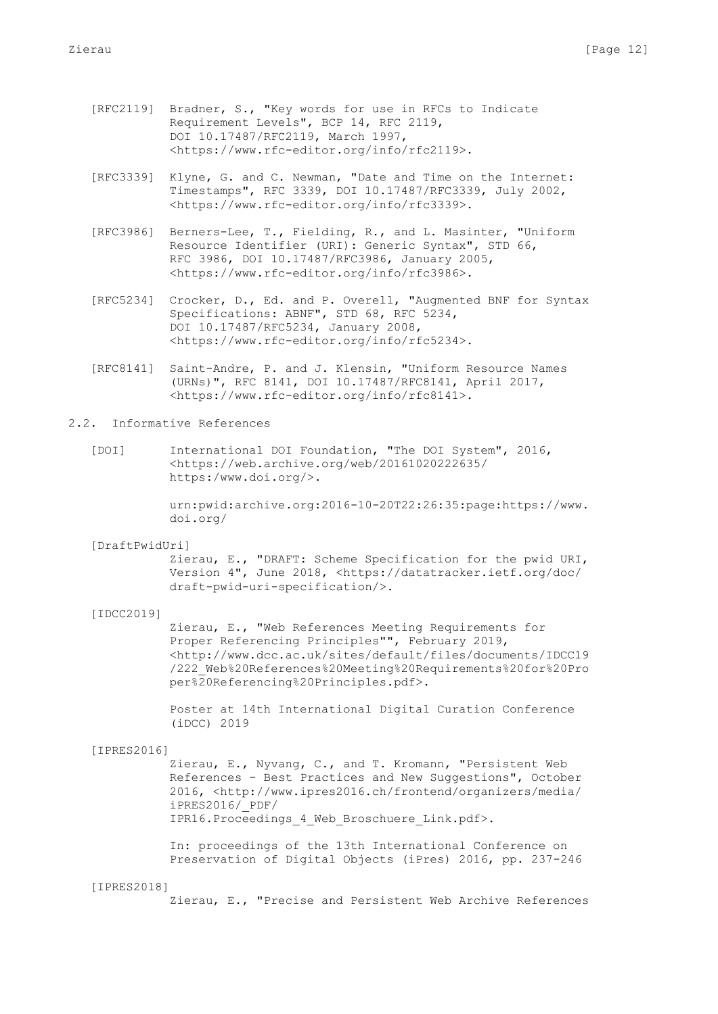- [RFC2119] Bradner, S., "Key words for use in RFCs to Indicate Requirement Levels", BCP 14, RFC 2119, DOI 10.17487/RFC2119, March 1997, <https://www.rfc-editor.org/info/rfc2119>.
- [RFC3339] Klyne, G. and C. Newman, "Date and Time on the Internet: Timestamps", RFC 3339, DOI 10.17487/RFC3339, July 2002, <https://www.rfc-editor.org/info/rfc3339>.
- [RFC3986] Berners-Lee, T., Fielding, R., and L. Masinter, "Uniform Resource Identifier (URI): Generic Syntax", STD 66, RFC 3986, DOI 10.17487/RFC3986, January 2005, <https://www.rfc-editor.org/info/rfc3986>.
- [RFC5234] Crocker, D., Ed. and P. Overell, "Augmented BNF for Syntax Specifications: ABNF", STD 68, RFC 5234, DOI 10.17487/RFC5234, January 2008, <https://www.rfc-editor.org/info/rfc5234>.
- [RFC8141] Saint-Andre, P. and J. Klensin, "Uniform Resource Names (URNs)", RFC 8141, DOI 10.17487/RFC8141, April 2017, <https://www.rfc-editor.org/info/rfc8141>.

# 2.2. Informative References

 [DOI] International DOI Foundation, "The DOI System", 2016, <https://web.archive.org/web/20161020222635/ https:/www.doi.org/>.

> urn:pwid:archive.org:2016-10-20T22:26:35:page:https://www. doi.org/

[DraftPwidUri]

 Zierau, E., "DRAFT: Scheme Specification for the pwid URI, Version 4", June 2018, <https://datatracker.ietf.org/doc/ draft-pwid-uri-specification/>.

[IDCC2019]

 Zierau, E., "Web References Meeting Requirements for Proper Referencing Principles"", February 2019, <http://www.dcc.ac.uk/sites/default/files/documents/IDCC19 /222\_Web%20References%20Meeting%20Requirements%20for%20Pro per%20Referencing%20Principles.pdf>.

 Poster at 14th International Digital Curation Conference (iDCC) 2019

#### [IPRES2016]

 Zierau, E., Nyvang, C., and T. Kromann, "Persistent Web References - Best Practices and New Suggestions", October 2016, <http://www.ipres2016.ch/frontend/organizers/media/ iPRES2016/\_PDF/ IPR16.Proceedings\_4\_Web\_Broschuere\_Link.pdf>.

 In: proceedings of the 13th International Conference on Preservation of Digital Objects (iPres) 2016, pp. 237-246

### [IPRES2018]

Zierau, E., "Precise and Persistent Web Archive References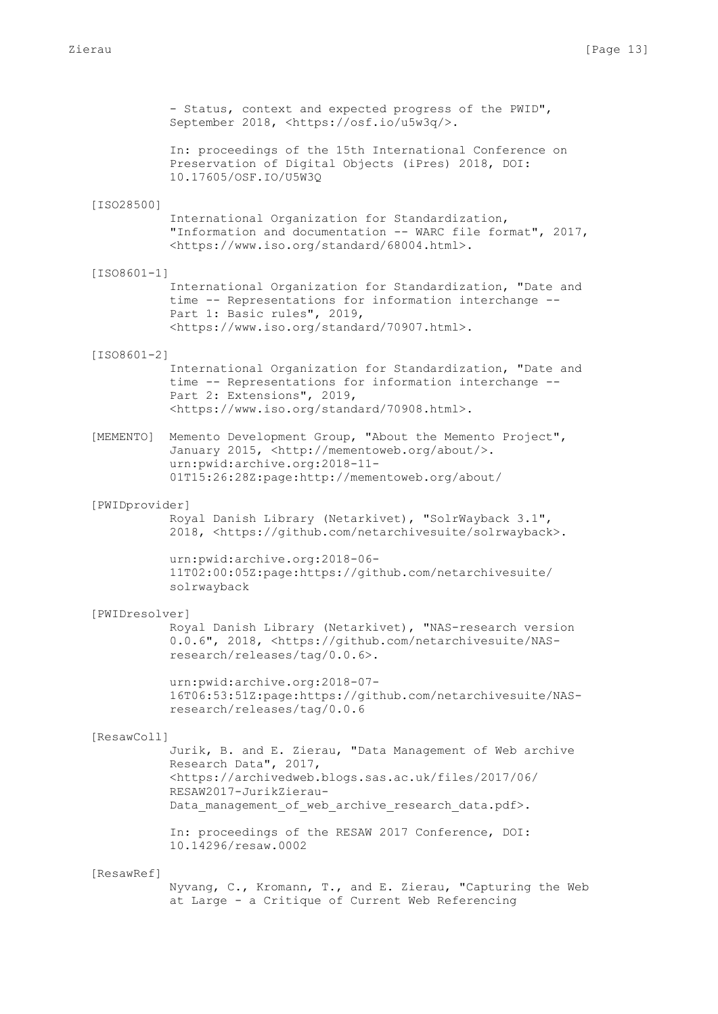- Status, context and expected progress of the PWID", September 2018, <https://osf.io/u5w3q/>. In: proceedings of the 15th International Conference on Preservation of Digital Objects (iPres) 2018, DOI: 10.17605/OSF.IO/U5W3Q [ISO28500] International Organization for Standardization, "Information and documentation -- WARC file format", 2017, <https://www.iso.org/standard/68004.html>. [ISO8601-1] International Organization for Standardization, "Date and time -- Representations for information interchange -- Part 1: Basic rules", 2019, <https://www.iso.org/standard/70907.html>. [ISO8601-2] International Organization for Standardization, "Date and time -- Representations for information interchange -- Part 2: Extensions", 2019, <https://www.iso.org/standard/70908.html>. [MEMENTO] Memento Development Group, "About the Memento Project", January 2015, <http://mementoweb.org/about/>. urn:pwid:archive.org:2018-11- 01T15:26:28Z:page:http://mementoweb.org/about/ [PWIDprovider] Royal Danish Library (Netarkivet), "SolrWayback 3.1", 2018, <https://github.com/netarchivesuite/solrwayback>. urn:pwid:archive.org:2018-06- 11T02:00:05Z:page:https://github.com/netarchivesuite/ solrwayback [PWIDresolver] Royal Danish Library (Netarkivet), "NAS-research version 0.0.6", 2018, <https://github.com/netarchivesuite/NAS research/releases/tag/0.0.6>. urn:pwid:archive.org:2018-07- 16T06:53:51Z:page:https://github.com/netarchivesuite/NAS research/releases/tag/0.0.6 [ResawColl] Jurik, B. and E. Zierau, "Data Management of Web archive Research Data", 2017, <https://archivedweb.blogs.sas.ac.uk/files/2017/06/ RESAW2017-JurikZierau- Data management of web archive research data.pdf>. In: proceedings of the RESAW 2017 Conference, DOI: 10.14296/resaw.0002 [ResawRef]

 Nyvang, C., Kromann, T., and E. Zierau, "Capturing the Web at Large - a Critique of Current Web Referencing